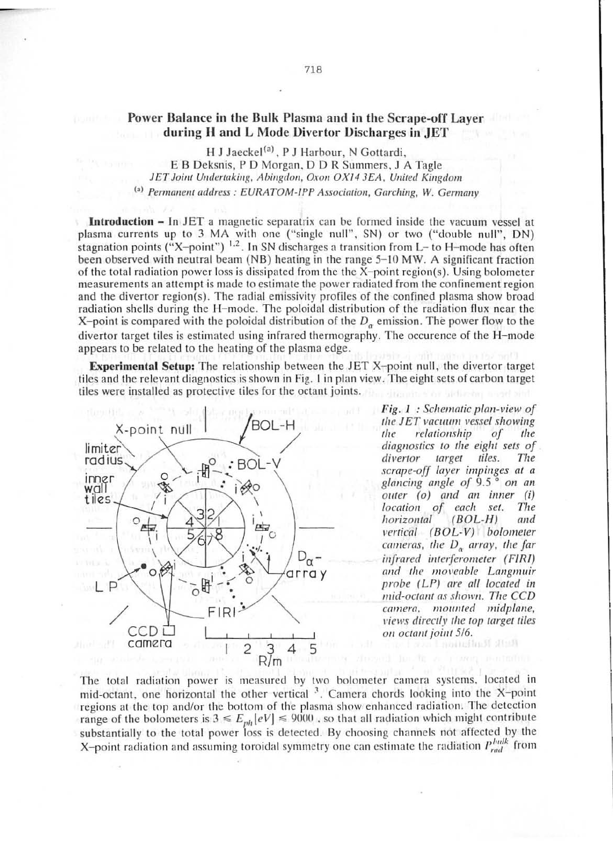## Power Balance in the Bulk Plasma and in the Scrape-off Laver during H and L Mode Divertor Discharges in JET

H J Jaeckel<sup>(a)</sup>, P J Harbour, N Gottardi. E B Deksnis, P D Morgan, D D R Summers, J A Tagle JET Joint Undertaking, Abingdon, Oxon OX14 3EA, United Kingdom (a) Permanent address: EURATOM-IPP Association, Garching, W. Germany

**Introduction –** In JET a magnetic separatrix can be formed inside the vacuum vessel at plasma currents up to 3 MA with one ("single null", SN) or two ("double null", DN) stagnation points  $({}^{4}X$ -point")  $^{1,2}$ . In SN discharges a transition from L- to H-mode has often been observed with neutral beam (NB) heating in the range 5-10 MW. A significant fraction of the total radiation power loss is dissipated from the the  $X$ -point region(s). Using bolometer measurements an attempt is made to estimate the power radiated from the confinement region and the divertor region(s). The radial emissivity profiles of the confined plasma show broad radiation shells during the H-mode. The poloidal distribution of the radiation flux near the X-point is compared with the poloidal distribution of the  $D_{\alpha}$  emission. The power flow to the divertor target tiles is estimated using infrared thermography. The occurence of the H-mode appears to be related to the heating of the plasma edge.

**Experimental Setup:** The relationship between the JET X-point null, the divertor target tiles and the relevant diagnostics is shown in Fig. 1 in plan view. The eight sets of carbon target tiles were installed as protective tiles for the octant joints.



Fig. 1 : Schematic plan-view of the JET vacuum vessel showing the relationship  $\sigma$ the diagnostics to the eight sets of divertor target tiles. The scrape-off layer impinges at a glancing angle of  $9.5^\circ$  on an outer (o) and an inner (i) location of each set. The horizontal  $(BOL-H)$ and vertical (BOL-V) bolometer cameras, the  $D_{\alpha}$  array, the far infrared interferometer (FIRI) and the moveable Langmuir probe (LP) are all located in mid-octant as shown. The CCD camera, mounted midplane, views directly the top target tiles on octant joint 5/6.

The total radiation power is measured by two bolometer camera systems, located in mid-octant, one horizontal the other vertical <sup>3</sup>. Camera chords looking into the X-point regions at the top and/or the bottom of the plasma show enhanced radiation. The detection range of the bolometers is  $3 \le E_{ph}[eV] \le 9000$ , so that all radiation which might contribute substantially to the total power loss is detected. By choosing channels not affected by the X-point radiation and assuming toroidal symmetry one can estimate the radiation  $P_{rad}^{bulk}$  from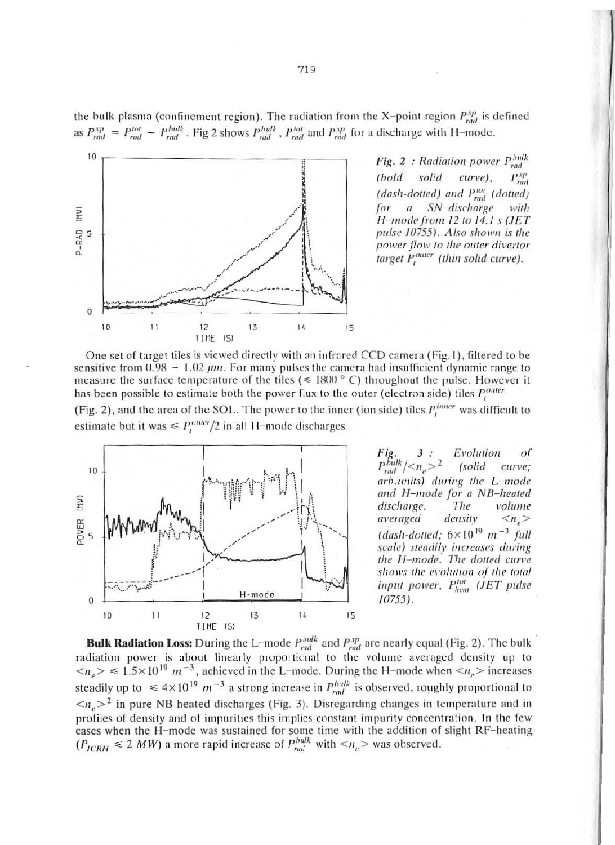

Fig. 2 : Radiation power  $P_{rad}^{bulk}$ (bold solid curve),  $P_{rad}^{xp}$ (dash-dotted) and Ptol (dotted) for a SN-discharge with  $H$ -mode from 12 to 14.1 s (JET pulse 10755). Also shown is the power flow to the outer divertor target Pouter (thin solid curve).

One set of target tiles is viewed directly with an infrared CCD camera (Fig.1), filtered to be sensitive from  $0.98 - 1.02 \mu m$ . For many pulses the camera had insufficient dynamic range to measure the surface temperature of the tiles ( $\leq$  1800 ° C) throughout the pulse. However it has been possible to estimate both the power flux to the outer (electron side) tiles  $P_t^{outer}$ 

(Fig. 2), and the area of the SOL. The power to the inner (ion side) tiles  $P_t^{inner}$  was difficult to estimate but it was  $\le P_t^{outer}/2$  in all H-mode discharges.



Fig.  $3:$ Evolution  $\sigma$ f  $P_{rad}^{bulk}/<\frac{N}{2}$  $(solid$ curve: arb.units) during the L-mode and H-mode for a NB-heated discharge. The volume averaged density  $\langle n_{e} \rangle$ (dash-dotted;  $6 \times 10^{19}$  m<sup>-3</sup> full scale) steadily increases during the H-mode. The dotted curve shows the evolution of the total input power, Pheat (JET pulse  $10755$ ).

**Bulk Radiation Loss:** During the L-mode  $P_{rad}^{bulk}$  and  $P_{rad}^{xp}$  are nearly equal (Fig. 2). The bulk radiation power is about linearly proportional to the volume averaged density up to  $\langle n_e \rangle \le 1.5 \times 10^{19}$  m<sup>-3</sup>, achieved in the L-mode. During the H-mode when  $\langle n_e \rangle$  increases steadily up to  $\leq 4 \times 10^{19}$  m<sup>-3</sup> a strong increase in *P<sub>rad</sub>* is observed, roughly proportional to  $\langle n_e \rangle^2$  in pure NB heated discharges (Fig. 3). Disregarding changes in temperature and in profiles of density and of impurities this implies constant impurity concentration. In the few cases when the H-mode was sustained for some time with the addition of slight RF-heating  $(P_{ICRH} \le 2 MW)$  a more rapid increase of  $P_{rad}^{bulk}$  with  $\langle n_e \rangle$  was observed.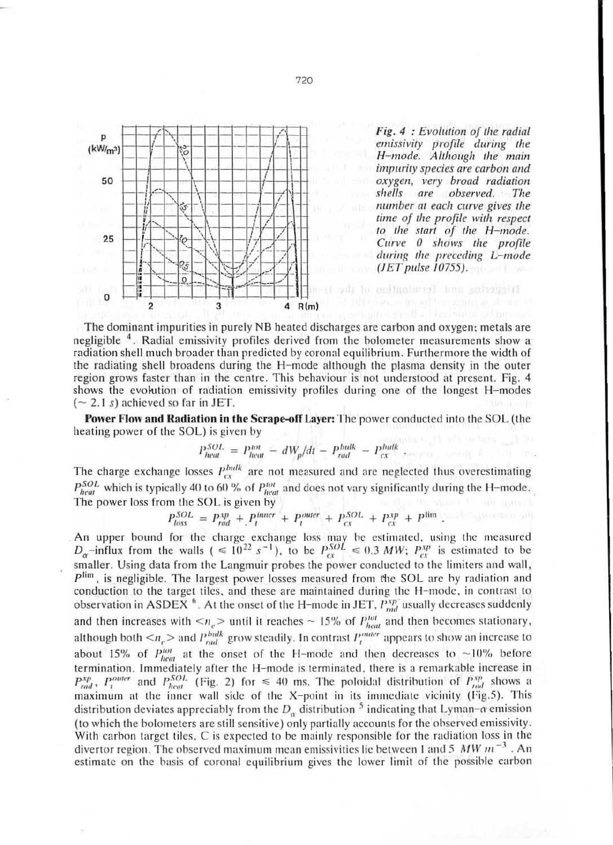

Fig. 4 : Evolution of the radial emissivity profile during the<br>H-mode. Although the main impurity species are carbon and oxygen, very broad radiation shells are observed. The number at each curve gives the time of the profile with respect to the start of the H-mode. Curve 0 shows the profile during the preceding L-mode  $(*JET pulse 10755*)$ .

The dominant impurities in purely NB heated discharges are carbon and oxygen; metals are negligible <sup>4</sup>. Radial emissivity profiles derived from the bolometer measurements show a radiation shell much broader than predicted by coronal equilibrium. Furthermore the width of the radiating shell broadens during the H-mode although the plasma density in the outer region grows faster than in the centre. This behaviour is not understood at present. Fig. 4 shows the evolution of radiation emissivity profiles during one of the longest H-modes  $({\sim} 2.1 s)$  achieved so far in JET.

**Power Flow and Radiation in the Scrape-off Layer:** The power conducted into the SOL (the heating power of the SOL) is given by

$$
P_{heat}^{SOL} = P_{heat}^{tot} - dW_p/dt - P_{rad}^{bulk} - P_{cx}^{bulk}
$$

The charge exchange losses  $P_{cx}^{bulk}$  are not measured and are neglected thus overestimating  $P_{heat}^{SOL}$  which is typically 40 to 60 % of  $P_{heat}^{tot}$  and does not vary significantly during the H-mode. The power loss from the SOL is given by

$$
P_{loss}^{SOL} = P_{rad}^{xp} + P_l^{inner} + P_l^{outer} + P_{cx}^{SOL} + P_{cx}^{xp} + P_{im}^{lim}
$$

An upper bound for the charge exchange loss may be estimated, using the measured  $D_{\alpha}$ -influx from the walls (  $\leq 10^{22} s^{-1}$ ), to be  $P_{ex}^{SOL} \leq 0.3 MW$ ;  $P_{ex}^{sp}$  is estimated to be smaller. Using data from the Langmuir probes the power conducted to the limiters and wall,  $P^{\text{lim}}$ , is negligible. The largest power losses measured from the SOL are by radiation and conduction to the target tiles, and these are maintained during the H-mode, in contrast to observation in ASDEX<sup>6</sup>. At the onset of the H-mode in JET,  $P_{rad}^{xp}$  usually decreases suddenly and then increases with  $\langle n_e \rangle$  until it reaches ~ 15% of  $P_{heat}^{tot}$  and then becomes stationary,<br>although both  $\langle n_e \rangle$  and  $P_{rad}^{bulk}$  grow steadily. In contrast  $P_{t}^{outer}$  appears to show an increase to about 15% of  $P_{heat}^{tot}$  at the onset of the H-mode and then decreases to ~10% before termination. Immediately after the H-mode is terminated, there is a remarkable increase in  $P_{rad}^{xp}$ ,  $P_l^{outer}$  and  $P_{heat}^{SOL}$  (Fig. 2) for  $\leq 40$  ms. The poloidal distribution of  $P_{rad}^{xp}$  shows a maximum at the inner wall side of the X-point in its immediate vicinity (Fig.5). This distribution deviates appreciably from the  $D_{\alpha}$  distribution <sup>5</sup> indicating that Lyman- $\alpha$  emission (to which the bolometers are still sensitive) only partially accounts for the observed emissivity. With carbon target tiles, C is expected to be mainly responsible for the radiation loss in the divertor region. The observed maximum mean emissivities lie between 1 and 5  $MW\,m^{-3}$ . An estimate on the basis of coronal equilibrium gives the lower limit of the possible carbon